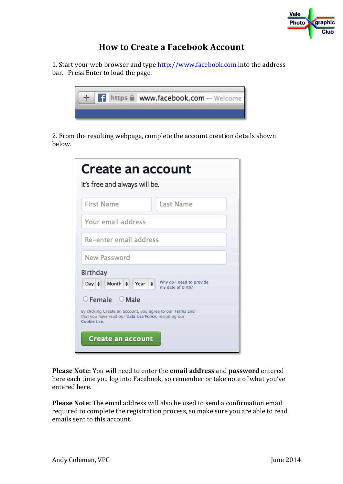

## **How to Create a Facebook Account**

1. Start your web browser and type http://www.facebook.com into the address bar. Press Enter to load the page.



2. From the resulting webpage, complete the account creation details shown below.

| Create an account                                                                                                                 |  |  |  |  |
|-----------------------------------------------------------------------------------------------------------------------------------|--|--|--|--|
| It's free and always will be.                                                                                                     |  |  |  |  |
| <b>First Name</b><br><b>Last Name</b>                                                                                             |  |  |  |  |
| Your email address                                                                                                                |  |  |  |  |
| Re-enter email address                                                                                                            |  |  |  |  |
| <b>New Password</b>                                                                                                               |  |  |  |  |
| <b>Birthday</b><br>Why do I need to provide<br>Day $\div$ Month $\div$ Year $\div$<br>my date of birth?                           |  |  |  |  |
| $\circ$ Female $\circ$ Male                                                                                                       |  |  |  |  |
| By clicking Create an account, you agree to our Terms and<br>that you have read our Data Use Policy, including our<br>Cookie Use. |  |  |  |  |
| <b>Create an account</b>                                                                                                          |  |  |  |  |

**Please Note:** You will need to enter the **email address** and **password** entered here each time you log into Facebook, so remember or take note of what you've entered here.

**Please Note:** The email address will also be used to send a confirmation email required to complete the registration process, so make sure you are able to read emails sent to this account.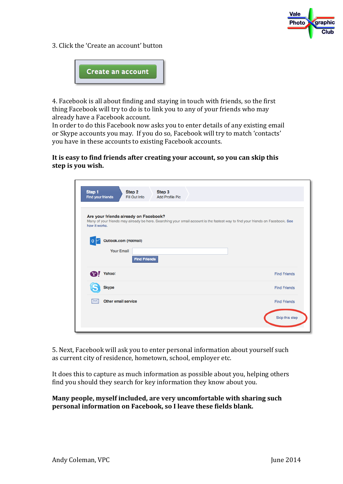

3. Click the 'Create an account' button



4. Facebook is all about finding and staying in touch with friends, so the first thing Facebook will try to do is to link you to any of your friends who may already have a Facebook account.

In order to do this Facebook now asks you to enter details of any existing email or Skype accounts you may. If you do so, Facebook will try to match 'contacts' you have in these accounts to existing Facebook accounts.

## It is easy to find friends after creating your account, so you can skip this step is you wish.

| how it works. | Are your friends already on Facebook? |                     |  |  |  | Many of your friends may already be here. Searching your email account is the fastest way to find your friends on Facebook. See |  |
|---------------|---------------------------------------|---------------------|--|--|--|---------------------------------------------------------------------------------------------------------------------------------|--|
|               | Outlook.com (Hotmail)                 |                     |  |  |  |                                                                                                                                 |  |
|               | <b>Your Email</b>                     |                     |  |  |  |                                                                                                                                 |  |
|               |                                       | <b>Find Friends</b> |  |  |  |                                                                                                                                 |  |
| Ø!            | Yahoo!                                |                     |  |  |  | <b>Find Friends</b>                                                                                                             |  |
|               | <b>Skype</b>                          |                     |  |  |  | <b>Find Friends</b>                                                                                                             |  |
|               | <b>Other email service</b>            |                     |  |  |  | <b>Find Friends</b>                                                                                                             |  |

5. Next, Facebook will ask you to enter personal information about yourself such as current city of residence, hometown, school, employer etc.

It does this to capture as much information as possible about you, helping others find you should they search for key information they know about you.

## **Many** people, myself included, are very uncomfortable with sharing such **personal information on Facebook, so I leave these fields blank.**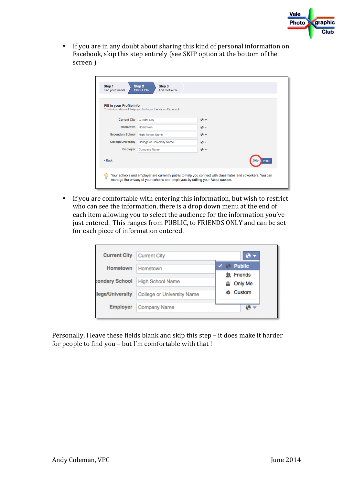

• If you are in any doubt about sharing this kind of personal information on Facebook, skip this step entirely (see SKIP option at the bottom of the screen )

| Fill in your Profile info | This information will help you find your friends on Facebook. |            |                            |
|---------------------------|---------------------------------------------------------------|------------|----------------------------|
| <b>Current City</b>       | <b>Current City</b>                                           | $\Theta$ - |                            |
| Hometown                  | Hometown                                                      | $\Theta$ - |                            |
| <b>Secondary School</b>   | <b>High School Name</b>                                       | $\Theta =$ |                            |
| <b>College/University</b> | College or University Name                                    | $\Theta$ - |                            |
| Employer                  | <b>Company Name</b>                                           | $\Theta$ - |                            |
| <b>∢Back</b>              |                                                               |            | <b>Skip</b><br><b>Next</b> |

• If you are comfortable with entering this information, but wish to restrict who can see the information, there is a drop down menu at the end of each item allowing you to select the audience for the information you've just entered. This ranges from PUBLIC, to FRIENDS ONLY and can be set for each piece of information entered.

| <b>Current City</b>     | <b>Current City</b>        |   |                           |
|-------------------------|----------------------------|---|---------------------------|
| Hometown                | Hometown                   |   | <b>Public</b>             |
| condary School          | <b>High School Name</b>    |   | <b>Friends</b><br>Only Me |
| <b>Ilege/University</b> | College or University Name | 许 | Custom                    |
| <b>Employer</b>         | <b>Company Name</b>        |   |                           |
|                         |                            |   |                           |

Personally, I leave these fields blank and skip this step - it does make it harder for people to find you - but I'm comfortable with that!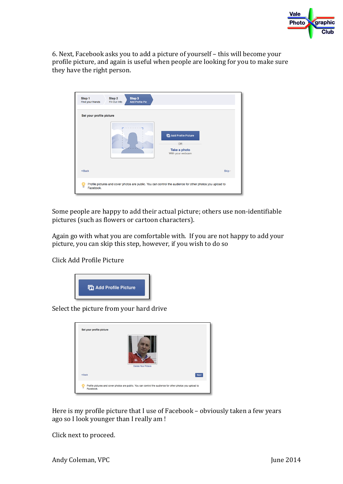

6. Next, Facebook asks you to add a picture of yourself – this will become your profile picture, and again is useful when people are looking for you to make sure they have the right person.

| Step 1<br>Step 2<br>Step 3<br>Fill Out Info<br><b>Add Profile Pic</b><br>Find your friends                             |        |
|------------------------------------------------------------------------------------------------------------------------|--------|
| Set your profile picture<br>Add Profile Picture<br><b>OR</b><br>Take a photo<br>With your webcam                       |        |
| <b>4 Back</b>                                                                                                          | Skip - |
| Profile pictures and cover photos are public. You can control the audience for other photos you upload to<br>Facebook. |        |

Some people are happy to add their actual picture; others use non-identifiable pictures (such as flowers or cartoon characters).

Again go with what you are comfortable with. If you are not happy to add your picture, you can skip this step, however, if you wish to do so

Click Add Profile Picture 



Select the picture from your hard drive

| Set your profile picture |                                                                                                           |
|--------------------------|-----------------------------------------------------------------------------------------------------------|
|                          | <b>Delete Your Picture</b>                                                                                |
| <b>∢Back</b>             | <b>Next</b><br>$\mathbf{r}$                                                                               |
| ≡<br>Facebook.           | Profile pictures and cover photos are public. You can control the audience for other photos you upload to |

Here is my profile picture that I use of Facebook - obviously taken a few years ago so I look younger than I really am!

Click next to proceed.

Andy Coleman, VPC June 2014